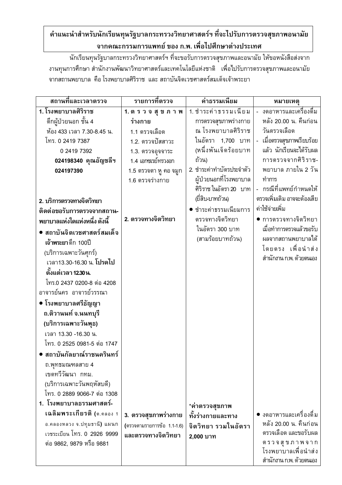## คำแนะนำสำหรับนักเรียนทุนรัฐบาลกระทรวงวิทยาศาสตร์ฯ ที่จะไปรับการตรวจสุขภาพอนามัย จากคณะกรรมการแพทย์ ของ ก.พ. เพื่อไปศึกษาต่างประเทศ

้นักเรียนทุนรัฐบาลกระทรวงวิทยาศาสตร์ฯ ที่จะขอรับการตรวจสุขภาพและอนามัย ให้ขอหนังสือส่งจาก งานทุนการศึกษา สำนักงานพัฒนาวิทยาศาสตร์และเทคโนโลยีแห่งชาติ เพื่อไปรับการตรวจสุขภาพและอนามัย ์จากสถานพยาบาล คือ โรงพยาบาลศิริราช และ สถาบันจิตเวชศาสตร์สมเด็จเจ้าพระยา

| สถานที่และเวลาตรวจ                                                                                     | รายการที่ตรวจ                            | ค่าธรรมเนียม                                                                                     | หมายเหตุ                                                                                      |
|--------------------------------------------------------------------------------------------------------|------------------------------------------|--------------------------------------------------------------------------------------------------|-----------------------------------------------------------------------------------------------|
| 1. โรงพยาบาลศิริราช                                                                                    | 1. ตรวจสุขภาพ                            | 1. ชำระค่าธรรมเนียม                                                                              | - งดอาหารและเครื่องดื่ม                                                                       |
| ้ตึกผู้ป่วยนอก ชั้น 4                                                                                  | ร่างกาย                                  | การตรวจสุขภาพร่างกาย                                                                             | หลัง 20.00 น. คืนก่อน                                                                         |
| ห้อง 433 เวลา 7.30-8.45 น.                                                                             | 1.1 ตรวจเลือด                            | ณ โรงพยาบาลศิริราช                                                                               | วันตรวจเลือด                                                                                  |
| โทร. 0 2419 7387                                                                                       | 1.2. ตรวจปัสสาวะ                         | ในอัตรา 1,700 บาท                                                                                | - เมื่อตรวจสุขภาพเรียบร้อย                                                                    |
| 0 2419 7392                                                                                            | 1.3. ตรวจอุจจาระ                         | (หนึ่งพันเจ็ดร้อยบาท                                                                             | แล้ว นักเรียนจะได้รับผล                                                                       |
| 024198340 คุณอัญชลีฯ                                                                                   | 1.4 เอกซเรย์ทรวงอก                       | ถ้วน)                                                                                            | การตรวจจากศิริราช-                                                                            |
| 024197390<br>2. บริการตรวจทางจิตวิทยา                                                                  | 1.5 ตรวจตา หู คอ จมูก<br>1.6 ตรวจร่างกาย | 2. ชำระค่าทำบัตรประจำตัว<br>ผู้ป่วยนอกที่โรงพยาบาล<br>ศิริราช ในอัตรา 20 บาท<br>(ยี่สิบ-บาทถ้วน) | พยาบาล ภายใน 2 วัน<br>ทำการ<br>- กรณีที่แพทย์กำหนดให้<br>ตรวจเพิ่มเติม อาจจะต้องเสีย          |
| ติดต่อขอรับการตรวจจากสถาน-                                                                             |                                          | ชำระค่าธรรมเนียมการ                                                                              | ค่าใช้จ่ายเพิ่ม                                                                               |
| พยาบาลแห่งใดแห่งหนึ่ง ดังนี้                                                                           | 2. ตรวจทางจิตวิทยา                       | ตรวจทางจิตวิทยา                                                                                  | • การตรวจทางจิตวิทยา                                                                          |
| • สถาบันจิตเวชศาสตร์สมเด็จ<br>เจ้าพระยาตึก 100ปี<br>(บริการเฉพาะวันศุกร์)<br>เวลา13.30-16.30 น. โปรดไป |                                          | ในอัตรา 300 บาท<br>(สามร้อยบาทถ้วน)                                                              | เมื่อทำการตรวจแล้วขอรับ<br>ผลจากสถานพยาบาลได้<br>โดยตรง เพื่อนำส่ง<br>สำนักงาน ก.พ. ด้วยตนเอง |
| ้ตั้งแต่เวลา 12.30 น.                                                                                  |                                          |                                                                                                  |                                                                                               |
| โทร.0 2437 0200-8 ต่อ 4208                                                                             |                                          |                                                                                                  |                                                                                               |
| อาจารย์นคร อาจารย์วรรณา                                                                                |                                          |                                                                                                  |                                                                                               |
| ● โรงพยาบาลศรีธัญญา                                                                                    |                                          |                                                                                                  |                                                                                               |
| ถ.ติวานนท์ จ.นนทบุรี                                                                                   |                                          |                                                                                                  |                                                                                               |
| (บริการเฉพาะวันพุธ)                                                                                    |                                          |                                                                                                  |                                                                                               |
| เวลา 13.30 -16.30 น.                                                                                   |                                          |                                                                                                  |                                                                                               |
| โทร. 0 2525 0981-5 ต่อ 1747                                                                            |                                          |                                                                                                  |                                                                                               |
| ● สถาบันกัลยาณ์ราชนครินทร์                                                                             |                                          |                                                                                                  |                                                                                               |
| ถ.พุทธมณฑลสาย 4<br>เขตทวีวัฒนา กทม.<br>(บริการเฉพาะวันพฤหัสบดี)                                        |                                          |                                                                                                  |                                                                                               |
| โทร. 0 2889 9066-7 ต่อ 1308                                                                            |                                          |                                                                                                  |                                                                                               |
| 1. โรงพยาบาลธรรมศาสตร์-                                                                                |                                          | *ค่าตรวจสุขภาพ                                                                                   |                                                                                               |
| เฉลิมพระเกียรติ (ต.คลอง 1                                                                              | 3. ตรวจสุขภาพร่างกาย                     | ทั้งร่างกายและทาง                                                                                | ● งดอาหารและเครื่องดื่ม                                                                       |
| อ.คลองหลวง จ.ปทุมธานี) แผนก                                                                            | (ตรวจตามรายการข้อ 1.1-1.6)               | จิตวิทยา รวมในอัตรา                                                                              | หลัง 20.00 น. คืนก่อน                                                                         |
| เวชระเบียน โทร. 0 2926 9999<br>ต่อ 9862, 9879 หรือ 9881                                                | และตรวจทางจิตวิทยา                       | 2,000 บาท                                                                                        | ตรวจเลือด และขอรับผล<br>ตรวจสุขภาพจาก<br>โรงพยาบาลเพื่อนำส่ง<br>สำนักงาน ก.พ. ด้วยตนเอง       |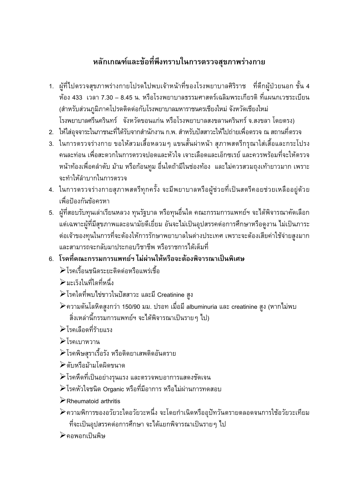## หลักเกณฑ์และข้อที่พึงทราบในการตรวจสุขภาพร่างกาย

- 1. ผู้ที่ไปตรวจสุขภาพร่างกายโปรดไปพบเจ้าหน้าที่ของโรงพยาบาลศิริราช ที่ตึกผู้ป่วยนอก ชั้น 4 ห้อง 433 เวลา 7.30 – 8.45 น. หรือโรงพยาบาลธรรมศาสตร์เฉลิมพระเกียรติ ที่แผนกเวชระเบียน (สำหรับส่วนภูมิภาคโปรดติดต่อกับโรงพยาบาลมหาราชนครเชียงใหม่ จังหวัดเชียงใหม่ โรงพยาบาลศรีนครินทร์ จังหวัดขอนแก่น หรือโรงพยาบาลสงขลานครินทร์ จ.สงขลา โดยตรง)
- ่ 2. ให้ใส่อุจจาระในภาชนะที่ได้รับจากสำนักงาน ก.พ. สำหรับปัสสาวะให้ไปถ่ายเพื่อตรวจ ณ สถานที่ตรวจ
- 3. ในการตรวจร่างกาย ขอให้สวมเสื้อหลวมๆ แขนสั้นผ่าหน้า สุภาพสตรีกรุณาใส่เสื้อและกระโปรง ้คนละท่อน เพื่อสะดวกในการตรวจปอดและหัวใจ เจาะเลือดและเอ็กซเรย์ และควรพร้อมที่จะให้ตรวจ หน้าท้องเพื่อคลำตับ ม้าม หรือก้อนทูม อื่นใดถ้ามีในช่องท้อง และไม่ควรสวมถุงเท้ายาวมาก เพราะ จะทำให้ลำบากในการตรวจ
- 4. ในการตรวจร่างกายสุภาพสตรีทุกครั้ง จะมีพยาบาลหรือผู้ช่วยที่เป็นสตรีคอยช่วยเหลืออยู่ด้วย ้เพื่อป้องกันข้อครหา
- 5. ผู้ที่สอบรับทุนเล่าเรียนหลวง ทุนรัฐบาล หรือทุนอื่นใด คณะกรรมการแพทย์ฯ จะได้พิจารณาคัดเลือก ้แต่เฉพาะผู้ที่มีสุขภาพและอนามัยดีเยี่ยม อันจะไม่เป็นอุปสรรคต่อการศึกษาหรือดูงาน ไม่เป็นภาระ ต่อเจ้าของทุนในการที่จะต้องให้การรักษาพยาบาลในต่างประเทศ เพราะจะต้องเสียค่าใช้จ่ายสูงมาก และสามารถจะกลับมาประกอบวิชาชีพ หรือราชการได้เต็มที่
- 6. โรคที่คณะกรรมการแพทย์ฯ ไม่ผ่านให้หรือจะต้องพิจารณาเป็นพิเศษ ≻โรคเรื้อนชนิดระยะติดต่อหรือแพร่เชื้อ
	- ิ ≻มะเร็งในที่ใดที่หนึ่ง
	- ≻โรคใดที่พบไข่ขาวในปัสสาวะ และมี Creatinine สูง
	- ิ ≻ิความดันโลหิตสูงกว่า 150/90 มม. ปรอท เมื่อมี albuminuria และ creatinine สูง (หากไม่พบ ้สิ่งเหล่านี้กรรมการแพทย์ฯ จะได้พิจารณาเป็นรายๆ ไป)
	- ≻โรดเลือดที่ร้ายแรง
	- ≻โรคเบาหวาน
	- ≻โรคพิษสุราเรื้อรัง หรือติดยาเสพติดอันตราย
	- ≻ตับหรือม้ามโตผิดขนาด
	- ≻โรคหืดที่เป็นอย่างรุนแรง และตรวจพบอาการแสดงชัดเจน
	- ▶โรคหัวใจชนิด Organic หรือที่มีอาการ หรือไม่ผ่านการทดสอบ
	- $\triangleright$  Rheumatoid arthritis
	- ≯ความพิการของอวัยวะใดอวัยวะหนึ่ง จะโดยกำเนิดหรืออุปัทวันตรายตลอดจนการใช้อวัยวะเทียม ้ที่จะเป็นอุปสรรคต่อการศึกษา จะได้แยกพิจารณาเป็นรายๆ ไป
	- ≻คอพอกเป็นพิษ